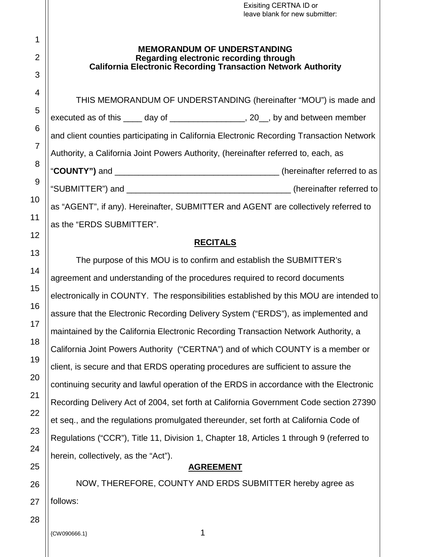| Exisiting CERTNA ID or<br>leave blank for new submitter:                                                                                             |
|------------------------------------------------------------------------------------------------------------------------------------------------------|
| <b>MEMORANDUM OF UNDERSTANDING</b><br>Regarding electronic recording through<br><b>California Electronic Recording Transaction Network Authority</b> |
| THIS MEMORANDUM OF UNDERSTANDING (hereinafter "MOU") is made and                                                                                     |
| executed as of this _____ day of ____________________, 20__, by and between member                                                                   |
| and client counties participating in California Electronic Recording Transaction Network                                                             |
| Authority, a California Joint Powers Authority, (hereinafter referred to, each, as                                                                   |
|                                                                                                                                                      |
|                                                                                                                                                      |
| as "AGENT", if any). Hereinafter, SUBMITTER and AGENT are collectively referred to                                                                   |
| as the "ERDS SUBMITTER".                                                                                                                             |
| <b>RECITALS</b>                                                                                                                                      |
| The purpose of this MOU is to confirm and establish the SUBMITTER's                                                                                  |
| agreement and understanding of the procedures required to record documents                                                                           |
| electronically in COUNTY. The responsibilities established by this MOU are intended to                                                               |
| assure that the Electronic Recording Delivery System ("ERDS"), as implemented and                                                                    |
| maintained by the California Electronic Recording Transaction Network Authority, a                                                                   |
| California Joint Powers Authority ("CERTNA") and of which COUNTY is a member or                                                                      |
| client, is secure and that ERDS operating procedures are sufficient to assure the                                                                    |

# **AGREEMENT**

continuing security and lawful operation of the ERDS in accordance with the Electronic

Recording Delivery Act of 2004, set forth at California Government Code section 27390

et seq., and the regulations promulgated thereunder, set forth at California Code of

Regulations ("CCR"), Title 11, Division 1, Chapter 18, Articles 1 through 9 (referred to

NOW, THEREFORE, COUNTY AND ERDS SUBMITTER hereby agree as follows:

{CW090666.1} 1

herein, collectively, as the "Act").

1

2

3

4

5

6

7

8

9

10

11

12

13

14

15

16

17

18

19

20

21

22

23

24

25

26

27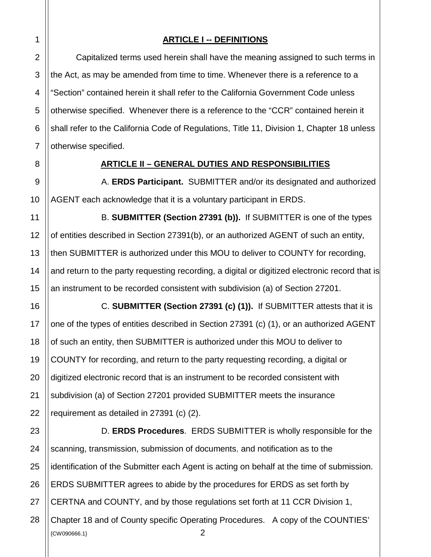### **ARTICLE I -- DEFINITIONS**

Capitalized terms used herein shall have the meaning assigned to such terms in the Act, as may be amended from time to time. Whenever there is a reference to a "Section" contained herein it shall refer to the California Government Code unless otherwise specified. Whenever there is a reference to the "CCR" contained herein it shall refer to the California Code of Regulations, Title 11, Division 1, Chapter 18 unless otherwise specified.

#### **ARTICLE II – GENERAL DUTIES AND RESPONSIBILITIES**

A. **ERDS Participant.** SUBMITTER and/or its designated and authorized AGENT each acknowledge that it is a voluntary participant in ERDS.

B. **SUBMITTER (Section 27391 (b)).** If SUBMITTER is one of the types of entities described in Section 27391(b), or an authorized AGENT of such an entity, then SUBMITTER is authorized under this MOU to deliver to COUNTY for recording, and return to the party requesting recording, a digital or digitized electronic record that is an instrument to be recorded consistent with subdivision (a) of Section 27201.

C. **SUBMITTER (Section 27391 (c) (1)).** If SUBMITTER attests that it is one of the types of entities described in Section 27391 (c) (1), or an authorized AGENT of such an entity, then SUBMITTER is authorized under this MOU to deliver to COUNTY for recording, and return to the party requesting recording, a digital or digitized electronic record that is an instrument to be recorded consistent with subdivision (a) of Section 27201 provided SUBMITTER meets the insurance requirement as detailed in 27391 (c) (2).

 ${2}$ 23 24 25 26 27 28 D. **ERDS Procedures**. ERDS SUBMITTER is wholly responsible for the scanning, transmission, submission of documents, and notification as to the identification of the Submitter each Agent is acting on behalf at the time of submission. ERDS SUBMITTER agrees to abide by the procedures for ERDS as set forth by CERTNA and COUNTY, and by those regulations set forth at 11 CCR Division 1, Chapter 18 and of County specific Operating Procedures. A copy of the COUNTIES'

3

4

5

6

7

8

9

10

11

12

13

14

15

16

17

18

19

20

21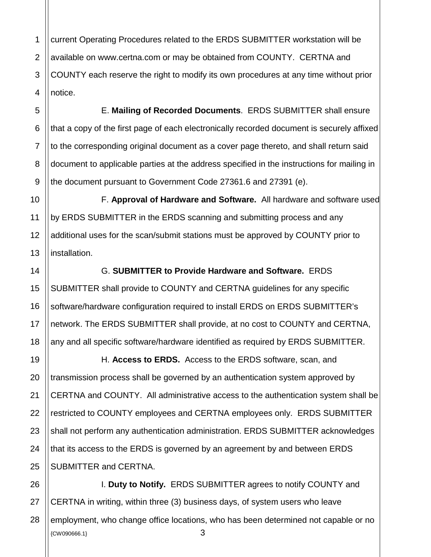1 2 current Operating Procedures related to the ERDS SUBMITTER workstation will be available on www.certna.com or may be obtained from COUNTY. CERTNA and COUNTY each reserve the right to modify its own procedures at any time without prior notice.

E. **Mailing of Recorded Documents**. ERDS SUBMITTER shall ensure that a copy of the first page of each electronically recorded document is securely affixed to the corresponding original document as a cover page thereto, and shall return said document to applicable parties at the address specified in the instructions for mailing in the document pursuant to Government Code 27361.6 and 27391 (e).

F. **Approval of Hardware and Software.** All hardware and software used by ERDS SUBMITTER in the ERDS scanning and submitting process and any additional uses for the scan/submit stations must be approved by COUNTY prior to installation.

# G. **SUBMITTER to Provide Hardware and Software.** ERDS

SUBMITTER shall provide to COUNTY and CERTNA guidelines for any specific software/hardware configuration required to install ERDS on ERDS SUBMITTER's network. The ERDS SUBMITTER shall provide, at no cost to COUNTY and CERTNA, any and all specific software/hardware identified as required by ERDS SUBMITTER.

H. **Access to ERDS.** Access to the ERDS software, scan, and transmission process shall be governed by an authentication system approved by CERTNA and COUNTY. All administrative access to the authentication system shall be restricted to COUNTY employees and CERTNA employees only. ERDS SUBMITTER shall not perform any authentication administration. ERDS SUBMITTER acknowledges that its access to the ERDS is governed by an agreement by and between ERDS SUBMITTER and CERTNA.

 ${2}$   ${3}$ I. **Duty to Notify.** ERDS SUBMITTER agrees to notify COUNTY and CERTNA in writing, within three (3) business days, of system users who leave employment, who change office locations, who has been determined not capable or no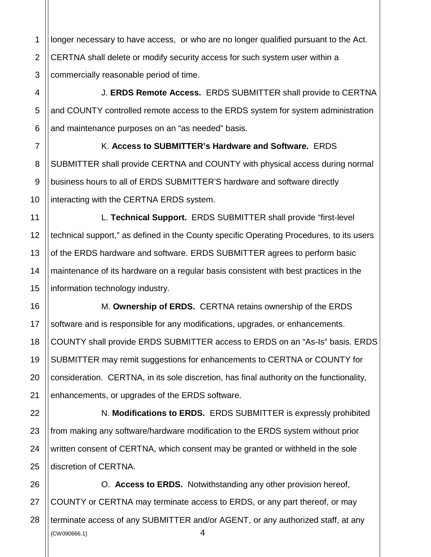1 longer necessary to have access, or who are no longer qualified pursuant to the Act. CERTNA shall delete or modify security access for such system user within a commercially reasonable period of time.

J. **ERDS Remote Access.** ERDS SUBMITTER shall provide to CERTNA and COUNTY controlled remote access to the ERDS system for system administration and maintenance purposes on an "as needed" basis.

K. **Access to SUBMITTER's Hardware and Software.** ERDS SUBMITTER shall provide CERTNA and COUNTY with physical access during normal business hours to all of ERDS SUBMITTER'S hardware and software directly interacting with the CERTNA ERDS system.

L. **Technical Support.** ERDS SUBMITTER shall provide "first-level technical support," as defined in the County specific Operating Procedures, to its users of the ERDS hardware and software. ERDS SUBMITTER agrees to perform basic maintenance of its hardware on a regular basis consistent with best practices in the information technology industry.

M. **Ownership of ERDS.** CERTNA retains ownership of the ERDS software and is responsible for any modifications, upgrades, or enhancements. COUNTY shall provide ERDS SUBMITTER access to ERDS on an "As-Is" basis. ERDS SUBMITTER may remit suggestions for enhancements to CERTNA or COUNTY for consideration. CERTNA, in its sole discretion, has final authority on the functionality, enhancements, or upgrades of the ERDS software.

N. **Modifications to ERDS.** ERDS SUBMITTER is expressly prohibited from making any software/hardware modification to the ERDS system without prior written consent of CERTNA, which consent may be granted or withheld in the sole discretion of CERTNA.

 $\{CW090666.1\}$   $4$ O. **Access to ERDS.** Notwithstanding any other provision hereof, COUNTY or CERTNA may terminate access to ERDS, or any part thereof, or may terminate access of any SUBMITTER and/or AGENT, or any authorized staff, at any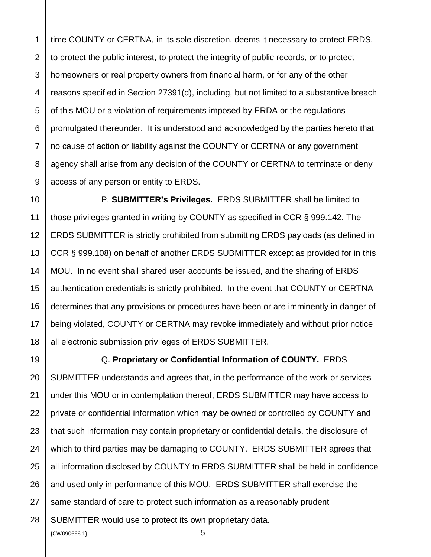2 time COUNTY or CERTNA, in its sole discretion, deems it necessary to protect ERDS, to protect the public interest, to protect the integrity of public records, or to protect homeowners or real property owners from financial harm, or for any of the other reasons specified in Section 27391(d), including, but not limited to a substantive breach of this MOU or a violation of requirements imposed by ERDA or the regulations promulgated thereunder. It is understood and acknowledged by the parties hereto that no cause of action or liability against the COUNTY or CERTNA or any government agency shall arise from any decision of the COUNTY or CERTNA to terminate or deny access of any person or entity to ERDS.

P. **SUBMITTER's Privileges.** ERDS SUBMITTER shall be limited to those privileges granted in writing by COUNTY as specified in CCR § 999.142. The ERDS SUBMITTER is strictly prohibited from submitting ERDS payloads (as defined in CCR § 999.108) on behalf of another ERDS SUBMITTER except as provided for in this MOU. In no event shall shared user accounts be issued, and the sharing of ERDS authentication credentials is strictly prohibited. In the event that COUNTY or CERTNA determines that any provisions or procedures have been or are imminently in danger of being violated, COUNTY or CERTNA may revoke immediately and without prior notice all electronic submission privileges of ERDS SUBMITTER.

 ${^{\circ}}$   ${^{\circ}}$   ${^{\circ}}$   ${^{\circ}}$   ${^{\circ}}$   $^{\circ}$   $^{\circ}$   $^{\circ}$   $^{\circ}$   $^{\circ}$   $^{\circ}$   $^{\circ}$   $^{\circ}$   $^{\circ}$   $^{\circ}$   $^{\circ}$   $^{\circ}$   $^{\circ}$   $^{\circ}$   $^{\circ}$   $^{\circ}$   $^{\circ}$   $^{\circ}$   $^{\circ}$   $^{\circ}$   $^{\circ}$   $^{\circ}$   $^{\circ}$   $^{\circ}$   $^{\circ}$   $^{\circ}$ Q. **Proprietary or Confidential Information of COUNTY.** ERDS SUBMITTER understands and agrees that, in the performance of the work or services under this MOU or in contemplation thereof, ERDS SUBMITTER may have access to private or confidential information which may be owned or controlled by COUNTY and that such information may contain proprietary or confidential details, the disclosure of which to third parties may be damaging to COUNTY. ERDS SUBMITTER agrees that all information disclosed by COUNTY to ERDS SUBMITTER shall be held in confidence and used only in performance of this MOU. ERDS SUBMITTER shall exercise the same standard of care to protect such information as a reasonably prudent SUBMITTER would use to protect its own proprietary data.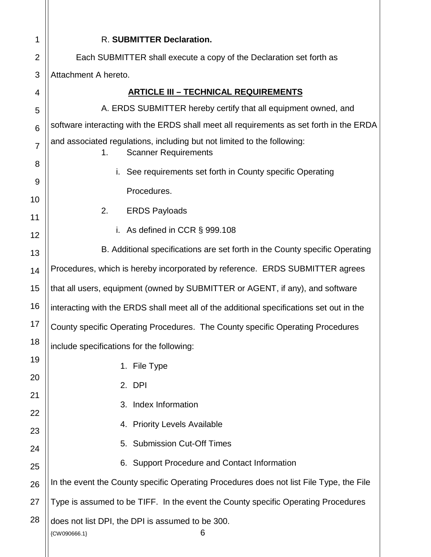| 1               | R. SUBMITTER Declaration.                                                                                    |
|-----------------|--------------------------------------------------------------------------------------------------------------|
| $\overline{2}$  | Each SUBMITTER shall execute a copy of the Declaration set forth as                                          |
| 3               | Attachment A hereto.                                                                                         |
| 4               | <b>ARTICLE III - TECHNICAL REQUIREMENTS</b>                                                                  |
| 5               | A. ERDS SUBMITTER hereby certify that all equipment owned, and                                               |
| $6\phantom{1}6$ | software interacting with the ERDS shall meet all requirements as set forth in the ERDA                      |
| $\overline{7}$  | and associated regulations, including but not limited to the following:<br><b>Scanner Requirements</b><br>1. |
| 8               | See requirements set forth in County specific Operating<br>i.                                                |
| 9<br>10         | Procedures.                                                                                                  |
| 11              | 2.<br><b>ERDS Payloads</b>                                                                                   |
| 12              | i. As defined in CCR $\S$ 999.108                                                                            |
| 13              | B. Additional specifications are set forth in the County specific Operating                                  |
| 14              | Procedures, which is hereby incorporated by reference. ERDS SUBMITTER agrees                                 |
| 15              | that all users, equipment (owned by SUBMITTER or AGENT, if any), and software                                |
| 16              | interacting with the ERDS shall meet all of the additional specifications set out in the                     |
| 17              | County specific Operating Procedures. The County specific Operating Procedures                               |
| 18              | include specifications for the following:                                                                    |
| 19              | 1. File Type                                                                                                 |
| 20              | 2. DPI                                                                                                       |
| 21              | Index Information<br>3.                                                                                      |
| 22              | 4. Priority Levels Available                                                                                 |
| 23              | 5. Submission Cut-Off Times                                                                                  |
| 24<br>25        | 6. Support Procedure and Contact Information                                                                 |
| 26              | In the event the County specific Operating Procedures does not list File Type, the File                      |
| 27              | Type is assumed to be TIFF. In the event the County specific Operating Procedures                            |
| 28              | does not list DPI, the DPI is assumed to be 300.<br>6<br>{CW090666.1}                                        |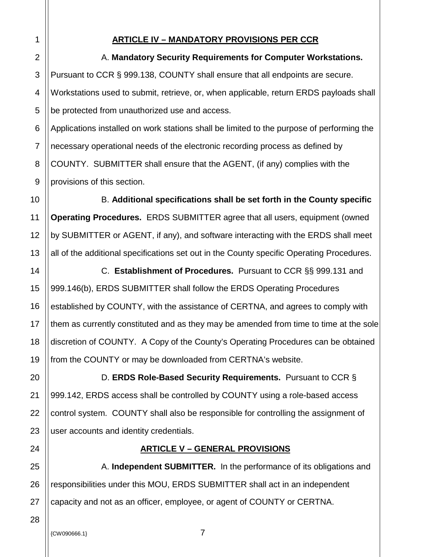### **ARTICLE IV – MANDATORY PROVISIONS PER CCR**

A. **Mandatory Security Requirements for Computer Workstations.** Pursuant to CCR § 999.138, COUNTY shall ensure that all endpoints are secure. Workstations used to submit, retrieve, or, when applicable, return ERDS payloads shall be protected from unauthorized use and access.

6 7 8 9 Applications installed on work stations shall be limited to the purpose of performing the necessary operational needs of the electronic recording process as defined by COUNTY. SUBMITTER shall ensure that the AGENT, (if any) complies with the provisions of this section.

10 12 13 B. **Additional specifications shall be set forth in the County specific Operating Procedures.** ERDS SUBMITTER agree that all users, equipment (owned by SUBMITTER or AGENT, if any), and software interacting with the ERDS shall meet all of the additional specifications set out in the County specific Operating Procedures.

14 15 16 18 19 C. **Establishment of Procedures.** Pursuant to CCR §§ 999.131 and 999.146(b), ERDS SUBMITTER shall follow the ERDS Operating Procedures established by COUNTY, with the assistance of CERTNA, and agrees to comply with them as currently constituted and as they may be amended from time to time at the sole discretion of COUNTY. A Copy of the County's Operating Procedures can be obtained from the COUNTY or may be downloaded from CERTNA's website.

D. **ERDS Role-Based Security Requirements.** Pursuant to CCR § 999.142, ERDS access shall be controlled by COUNTY using a role-based access control system. COUNTY shall also be responsible for controlling the assignment of user accounts and identity credentials.

## **ARTICLE V – GENERAL PROVISIONS**

A. **Independent SUBMITTER.** In the performance of its obligations and responsibilities under this MOU, ERDS SUBMITTER shall act in an independent capacity and not as an officer, employee, or agent of COUNTY or CERTNA.

11

17

20

21

22

23

24

25

26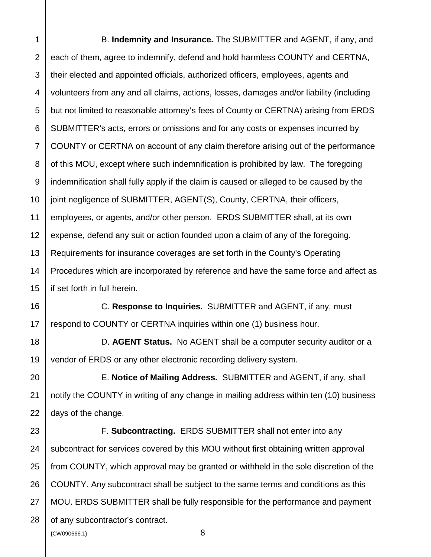8 9 10 12 13 14 15 B. **Indemnity and Insurance.** The SUBMITTER and AGENT, if any, and each of them, agree to indemnify, defend and hold harmless COUNTY and CERTNA, their elected and appointed officials, authorized officers, employees, agents and volunteers from any and all claims, actions, losses, damages and/or liability (including but not limited to reasonable attorney's fees of County or CERTNA) arising from ERDS SUBMITTER's acts, errors or omissions and for any costs or expenses incurred by COUNTY or CERTNA on account of any claim therefore arising out of the performance of this MOU, except where such indemnification is prohibited by law. The foregoing indemnification shall fully apply if the claim is caused or alleged to be caused by the joint negligence of SUBMITTER, AGENT(S), County, CERTNA, their officers, employees, or agents, and/or other person. ERDS SUBMITTER shall, at its own expense, defend any suit or action founded upon a claim of any of the foregoing. Requirements for insurance coverages are set forth in the County's Operating Procedures which are incorporated by reference and have the same force and affect as if set forth in full herein.

16 17 C. **Response to Inquiries.** SUBMITTER and AGENT, if any, must respond to COUNTY or CERTNA inquiries within one (1) business hour.

D. **AGENT Status.** No AGENT shall be a computer security auditor or a vendor of ERDS or any other electronic recording delivery system.

E. **Notice of Mailing Address.** SUBMITTER and AGENT, if any, shall notify the COUNTY in writing of any change in mailing address within ten (10) business days of the change.

 ${8}$ 23 24 25 26 27 28 F. **Subcontracting.** ERDS SUBMITTER shall not enter into any subcontract for services covered by this MOU without first obtaining written approval from COUNTY, which approval may be granted or withheld in the sole discretion of the COUNTY. Any subcontract shall be subject to the same terms and conditions as this MOU. ERDS SUBMITTER shall be fully responsible for the performance and payment of any subcontractor's contract.

11

18

19

20

21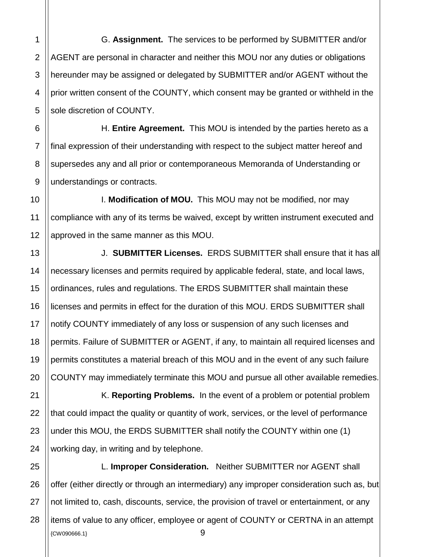1 2 G. **Assignment.** The services to be performed by SUBMITTER and/or AGENT are personal in character and neither this MOU nor any duties or obligations hereunder may be assigned or delegated by SUBMITTER and/or AGENT without the prior written consent of the COUNTY, which consent may be granted or withheld in the sole discretion of COUNTY.

H. **Entire Agreement.** This MOU is intended by the parties hereto as a final expression of their understanding with respect to the subject matter hereof and supersedes any and all prior or contemporaneous Memoranda of Understanding or understandings or contracts.

I. **Modification of MOU.** This MOU may not be modified, nor may compliance with any of its terms be waived, except by written instrument executed and approved in the same manner as this MOU.

J. **SUBMITTER Licenses.** ERDS SUBMITTER shall ensure that it has all necessary licenses and permits required by applicable federal, state, and local laws, ordinances, rules and regulations. The ERDS SUBMITTER shall maintain these licenses and permits in effect for the duration of this MOU. ERDS SUBMITTER shall notify COUNTY immediately of any loss or suspension of any such licenses and permits. Failure of SUBMITTER or AGENT, if any, to maintain all required licenses and permits constitutes a material breach of this MOU and in the event of any such failure COUNTY may immediately terminate this MOU and pursue all other available remedies.

K. **Reporting Problems.** In the event of a problem or potential problem that could impact the quality or quantity of work, services, or the level of performance under this MOU, the ERDS SUBMITTER shall notify the COUNTY within one (1) working day, in writing and by telephone.

{CW090666.1} 9 L. **Improper Consideration.** Neither SUBMITTER nor AGENT shall offer (either directly or through an intermediary) any improper consideration such as, but not limited to, cash, discounts, service, the provision of travel or entertainment, or any items of value to any officer, employee or agent of COUNTY or CERTNA in an attempt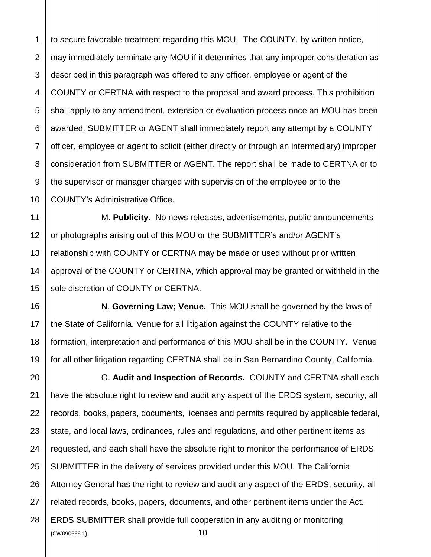1 2 to secure favorable treatment regarding this MOU. The COUNTY, by written notice, may immediately terminate any MOU if it determines that any improper consideration as described in this paragraph was offered to any officer, employee or agent of the COUNTY or CERTNA with respect to the proposal and award process. This prohibition shall apply to any amendment, extension or evaluation process once an MOU has been awarded. SUBMITTER or AGENT shall immediately report any attempt by a COUNTY officer, employee or agent to solicit (either directly or through an intermediary) improper consideration from SUBMITTER or AGENT. The report shall be made to CERTNA or to the supervisor or manager charged with supervision of the employee or to the COUNTY's Administrative Office.

M. **Publicity.** No news releases, advertisements, public announcements or photographs arising out of this MOU or the SUBMITTER's and/or AGENT's relationship with COUNTY or CERTNA may be made or used without prior written approval of the COUNTY or CERTNA, which approval may be granted or withheld in the sole discretion of COUNTY or CERTNA.

N. **Governing Law; Venue.** This MOU shall be governed by the laws of the State of California. Venue for all litigation against the COUNTY relative to the formation, interpretation and performance of this MOU shall be in the COUNTY. Venue for all other litigation regarding CERTNA shall be in San Bernardino County, California.

 ${20}$   ${10}$ O. **Audit and Inspection of Records.** COUNTY and CERTNA shall each have the absolute right to review and audit any aspect of the ERDS system, security, all records, books, papers, documents, licenses and permits required by applicable federal, state, and local laws, ordinances, rules and regulations, and other pertinent items as requested, and each shall have the absolute right to monitor the performance of ERDS SUBMITTER in the delivery of services provided under this MOU. The California Attorney General has the right to review and audit any aspect of the ERDS, security, all related records, books, papers, documents, and other pertinent items under the Act. ERDS SUBMITTER shall provide full cooperation in any auditing or monitoring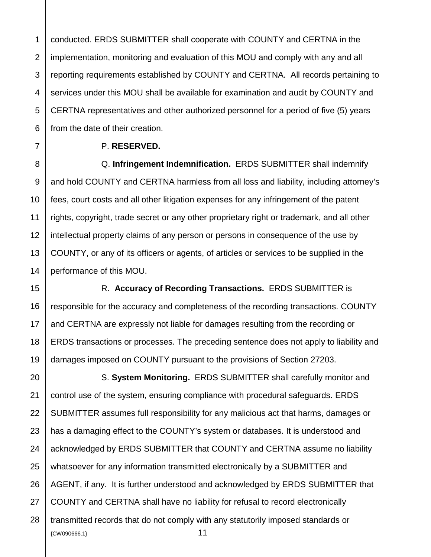1 conducted. ERDS SUBMITTER shall cooperate with COUNTY and CERTNA in the implementation, monitoring and evaluation of this MOU and comply with any and all reporting requirements established by COUNTY and CERTNA. All records pertaining to services under this MOU shall be available for examination and audit by COUNTY and CERTNA representatives and other authorized personnel for a period of five (5) years from the date of their creation.

#### P. **RESERVED.**

Q. **Infringement Indemnification.** ERDS SUBMITTER shall indemnify and hold COUNTY and CERTNA harmless from all loss and liability, including attorney's fees, court costs and all other litigation expenses for any infringement of the patent rights, copyright, trade secret or any other proprietary right or trademark, and all other intellectual property claims of any person or persons in consequence of the use by COUNTY, or any of its officers or agents, of articles or services to be supplied in the performance of this MOU.

R. **Accuracy of Recording Transactions.** ERDS SUBMITTER is responsible for the accuracy and completeness of the recording transactions. COUNTY and CERTNA are expressly not liable for damages resulting from the recording or ERDS transactions or processes. The preceding sentence does not apply to liability and damages imposed on COUNTY pursuant to the provisions of Section 27203.

 ${11}$ S. **System Monitoring.** ERDS SUBMITTER shall carefully monitor and control use of the system, ensuring compliance with procedural safeguards. ERDS SUBMITTER assumes full responsibility for any malicious act that harms, damages or has a damaging effect to the COUNTY's system or databases. It is understood and acknowledged by ERDS SUBMITTER that COUNTY and CERTNA assume no liability whatsoever for any information transmitted electronically by a SUBMITTER and AGENT, if any. It is further understood and acknowledged by ERDS SUBMITTER that COUNTY and CERTNA shall have no liability for refusal to record electronically transmitted records that do not comply with any statutorily imposed standards or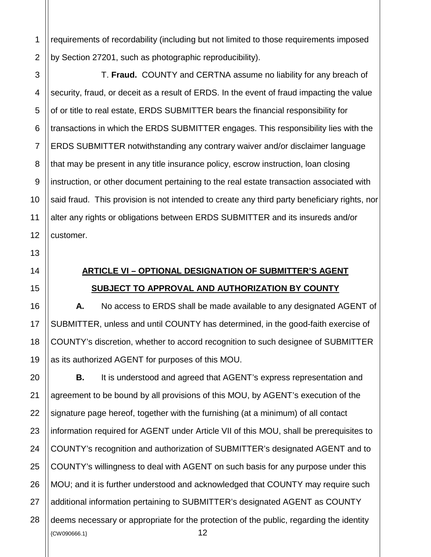requirements of recordability (including but not limited to those requirements imposed by Section 27201, such as photographic reproducibility).

T. **Fraud.** COUNTY and CERTNA assume no liability for any breach of security, fraud, or deceit as a result of ERDS. In the event of fraud impacting the value of or title to real estate, ERDS SUBMITTER bears the financial responsibility for transactions in which the ERDS SUBMITTER engages. This responsibility lies with the ERDS SUBMITTER notwithstanding any contrary waiver and/or disclaimer language that may be present in any title insurance policy, escrow instruction, loan closing instruction, or other document pertaining to the real estate transaction associated with said fraud. This provision is not intended to create any third party beneficiary rights, nor alter any rights or obligations between ERDS SUBMITTER and its insureds and/or customer.

# **ARTICLE VI – OPTIONAL DESIGNATION OF SUBMITTER'S AGENT SUBJECT TO APPROVAL AND AUTHORIZATION BY COUNTY**

**A.** No access to ERDS shall be made available to any designated AGENT of SUBMITTER, unless and until COUNTY has determined, in the good-faith exercise of COUNTY's discretion, whether to accord recognition to such designee of SUBMITTER as its authorized AGENT for purposes of this MOU.

 ${2}$ **B.** It is understood and agreed that AGENT's express representation and agreement to be bound by all provisions of this MOU, by AGENT's execution of the signature page hereof, together with the furnishing (at a minimum) of all contact information required for AGENT under Article VII of this MOU, shall be prerequisites to COUNTY's recognition and authorization of SUBMITTER's designated AGENT and to COUNTY's willingness to deal with AGENT on such basis for any purpose under this MOU; and it is further understood and acknowledged that COUNTY may require such additional information pertaining to SUBMITTER's designated AGENT as COUNTY deems necessary or appropriate for the protection of the public, regarding the identity

27

28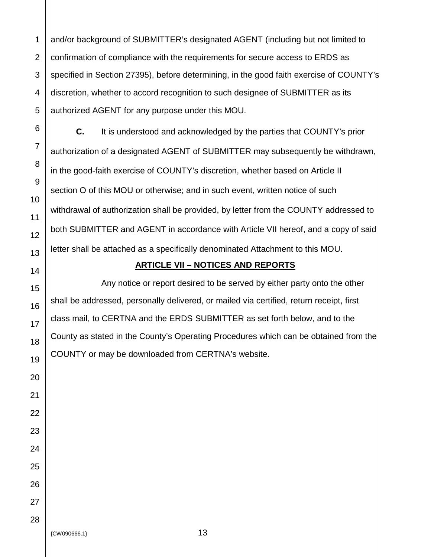1 and/or background of SUBMITTER's designated AGENT (including but not limited to confirmation of compliance with the requirements for secure access to ERDS as specified in Section 27395), before determining, in the good faith exercise of COUNTY's discretion, whether to accord recognition to such designee of SUBMITTER as its authorized AGENT for any purpose under this MOU.

**C.** It is understood and acknowledged by the parties that COUNTY's prior authorization of a designated AGENT of SUBMITTER may subsequently be withdrawn, in the good-faith exercise of COUNTY's discretion, whether based on Article II section O of this MOU or otherwise; and in such event, written notice of such withdrawal of authorization shall be provided, by letter from the COUNTY addressed to both SUBMITTER and AGENT in accordance with Article VII hereof, and a copy of said letter shall be attached as a specifically denominated Attachment to this MOU.

#### **ARTICLE VII – NOTICES AND REPORTS**

Any notice or report desired to be served by either party onto the other shall be addressed, personally delivered, or mailed via certified, return receipt, first class mail, to CERTNA and the ERDS SUBMITTER as set forth below, and to the County as stated in the County's Operating Procedures which can be obtained from the COUNTY or may be downloaded from CERTNA's website.

{CW090666.1} 13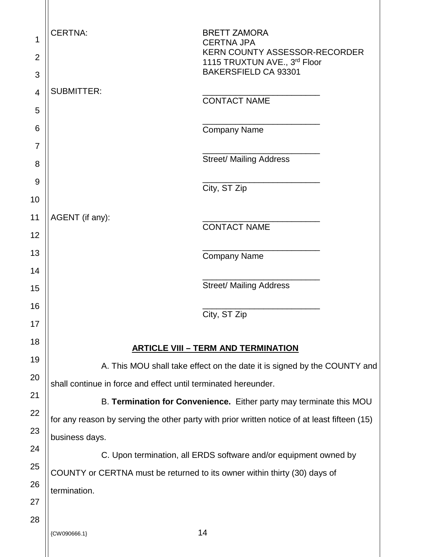| 1  | <b>CERTNA:</b>                                                            | <b>BRETT ZAMORA</b>                                                                          |
|----|---------------------------------------------------------------------------|----------------------------------------------------------------------------------------------|
|    |                                                                           | <b>CERTNA JPA</b><br><b>KERN COUNTY ASSESSOR-RECORDER</b>                                    |
| 2  |                                                                           | 1115 TRUXTUN AVE., 3rd Floor<br><b>BAKERSFIELD CA 93301</b>                                  |
| 3  |                                                                           |                                                                                              |
| 4  | <b>SUBMITTER:</b>                                                         | <b>CONTACT NAME</b>                                                                          |
| 5  |                                                                           |                                                                                              |
| 6  |                                                                           | <b>Company Name</b>                                                                          |
| 7  |                                                                           | <b>Street/ Mailing Address</b>                                                               |
| 8  |                                                                           |                                                                                              |
| 9  |                                                                           | City, ST Zip                                                                                 |
| 10 |                                                                           |                                                                                              |
| 11 | AGENT (if any):                                                           | <b>CONTACT NAME</b>                                                                          |
| 12 |                                                                           |                                                                                              |
| 13 |                                                                           | <b>Company Name</b>                                                                          |
| 14 |                                                                           |                                                                                              |
| 15 |                                                                           | <b>Street/ Mailing Address</b>                                                               |
| 16 |                                                                           | City, ST Zip                                                                                 |
| 17 |                                                                           |                                                                                              |
| 18 |                                                                           | <b>ARTICLE VIII - TERM AND TERMINATION</b>                                                   |
| 19 |                                                                           | A. This MOU shall take effect on the date it is signed by the COUNTY and                     |
| 20 | shall continue in force and effect until terminated hereunder.            |                                                                                              |
| 21 |                                                                           | B. Termination for Convenience. Either party may terminate this MOU                          |
| 22 |                                                                           | for any reason by serving the other party with prior written notice of at least fifteen (15) |
| 23 | business days.                                                            |                                                                                              |
| 24 |                                                                           | C. Upon termination, all ERDS software and/or equipment owned by                             |
| 25 | COUNTY or CERTNA must be returned to its owner within thirty (30) days of |                                                                                              |
| 26 | termination.                                                              |                                                                                              |
| 27 |                                                                           |                                                                                              |
| 28 |                                                                           |                                                                                              |
|    | {CW090666.1}                                                              | 14                                                                                           |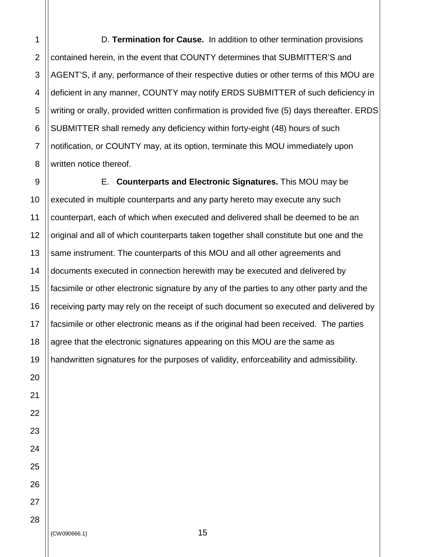1 D. **Termination for Cause.** In addition to other termination provisions contained herein, in the event that COUNTY determines that SUBMITTER'S and AGENT'S, if any, performance of their respective duties or other terms of this MOU are deficient in any manner, COUNTY may notify ERDS SUBMITTER of such deficiency in writing or orally, provided written confirmation is provided five (5) days thereafter. ERDS SUBMITTER shall remedy any deficiency within forty-eight (48) hours of such notification, or COUNTY may, at its option, terminate this MOU immediately upon written notice thereof.

E. **Counterparts and Electronic Signatures.** This MOU may be executed in multiple counterparts and any party hereto may execute any such counterpart, each of which when executed and delivered shall be deemed to be an original and all of which counterparts taken together shall constitute but one and the same instrument. The counterparts of this MOU and all other agreements and documents executed in connection herewith may be executed and delivered by facsimile or other electronic signature by any of the parties to any other party and the receiving party may rely on the receipt of such document so executed and delivered by facsimile or other electronic means as if the original had been received. The parties agree that the electronic signatures appearing on this MOU are the same as handwritten signatures for the purposes of validity, enforceability and admissibility.

{CW090666.1} 15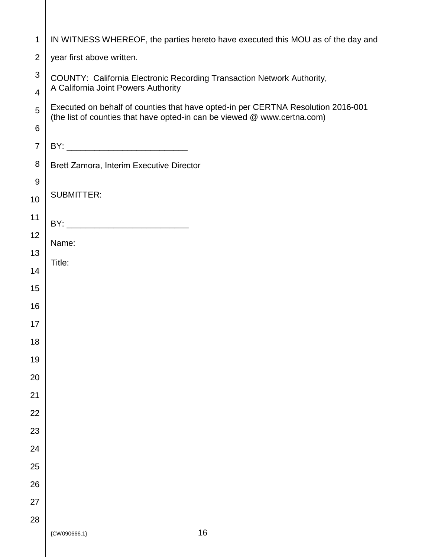| 1                                                     | IN WITNESS WHEREOF, the parties hereto have executed this MOU as of the day and                                                                              |
|-------------------------------------------------------|--------------------------------------------------------------------------------------------------------------------------------------------------------------|
| $\overline{2}$                                        | year first above written.                                                                                                                                    |
| $\mathsf 3$                                           | COUNTY: California Electronic Recording Transaction Network Authority,                                                                                       |
| A California Joint Powers Authority<br>$\overline{4}$ |                                                                                                                                                              |
| 5                                                     | Executed on behalf of counties that have opted-in per CERTNA Resolution 2016-001<br>(the list of counties that have opted-in can be viewed @ www.certna.com) |
| 6                                                     |                                                                                                                                                              |
| $\overline{7}$                                        |                                                                                                                                                              |
| 8                                                     | Brett Zamora, Interim Executive Director                                                                                                                     |
| 9                                                     | <b>SUBMITTER:</b>                                                                                                                                            |
| 10                                                    |                                                                                                                                                              |
| 11                                                    |                                                                                                                                                              |
| 12                                                    | Name:                                                                                                                                                        |
| 13                                                    | Title:                                                                                                                                                       |
| 14                                                    |                                                                                                                                                              |
| 15                                                    |                                                                                                                                                              |
| 16                                                    |                                                                                                                                                              |
| 17                                                    |                                                                                                                                                              |
| 18                                                    |                                                                                                                                                              |
| 19<br>20                                              |                                                                                                                                                              |
| 21                                                    |                                                                                                                                                              |
| 22                                                    |                                                                                                                                                              |
| 23                                                    |                                                                                                                                                              |
| 24                                                    |                                                                                                                                                              |
| 25                                                    |                                                                                                                                                              |
| 26                                                    |                                                                                                                                                              |
| 27                                                    |                                                                                                                                                              |
| 28                                                    |                                                                                                                                                              |
|                                                       | $16$<br>${CWO90666.1}$                                                                                                                                       |
|                                                       |                                                                                                                                                              |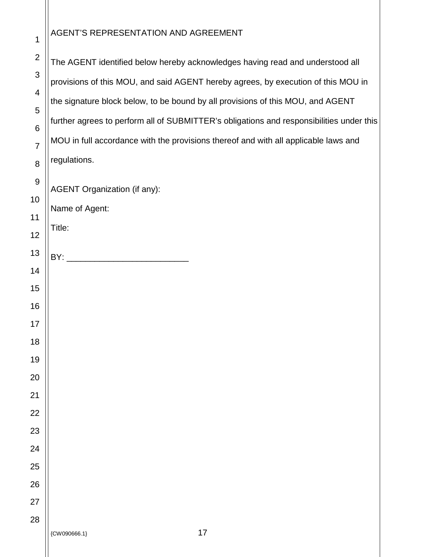#### AGENT'S REPRESENTATION AND AGREEMENT

 The AGENT identified below hereby acknowledges having read and understood all provisions of this MOU, and said AGENT hereby agrees, by execution of this MOU in the signature block below, to be bound by all provisions of this MOU, and AGENT further agrees to perform all of SUBMITTER's obligations and responsibilities under this MOU in full accordance with the provisions thereof and with all applicable laws and regulations. AGENT Organization (if any): Name of Agent: Title: BY: \_\_\_\_\_\_\_\_\_\_\_\_\_\_\_\_\_\_\_\_\_\_\_\_\_\_